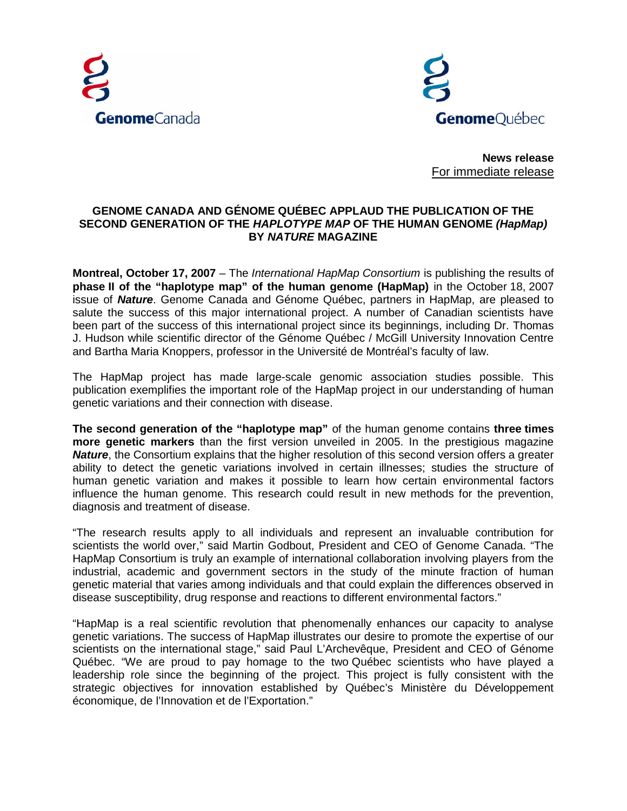



**News release** For immediate release

## **GENOME CANADA AND GÉNOME QUÉBEC APPLAUD THE PUBLICATION OF THE SECOND GENERATION OF THE** *HAPLOTYPE MAP* **OF THE HUMAN GENOME** *(HapMap)* **BY** *NATURE* **MAGAZINE**

**Montreal, October 17, 2007** – The *International HapMap Consortium* is publishing the results of **phase II of the "haplotype map" of the human genome (HapMap)** in the October 18, 2007 issue of *Nature*. Genome Canada and Génome Québec, partners in HapMap, are pleased to salute the success of this major international project. A number of Canadian scientists have been part of the success of this international project since its beginnings, including Dr. Thomas J. Hudson while scientific director of the Génome Québec / McGill University Innovation Centre and Bartha Maria Knoppers, professor in the Université de Montréal's faculty of law.

The HapMap project has made large-scale genomic association studies possible. This publication exemplifies the important role of the HapMap project in our understanding of human genetic variations and their connection with disease.

**The second generation of the "haplotype map"** of the human genome contains **three times more genetic markers** than the first version unveiled in 2005. In the prestigious magazine *Nature*, the Consortium explains that the higher resolution of this second version offers a greater ability to detect the genetic variations involved in certain illnesses; studies the structure of human genetic variation and makes it possible to learn how certain environmental factors influence the human genome. This research could result in new methods for the prevention, diagnosis and treatment of disease.

"The research results apply to all individuals and represent an invaluable contribution for scientists the world over," said Martin Godbout, President and CEO of Genome Canada. "The HapMap Consortium is truly an example of international collaboration involving players from the industrial, academic and government sectors in the study of the minute fraction of human genetic material that varies among individuals and that could explain the differences observed in disease susceptibility, drug response and reactions to different environmental factors."

"HapMap is a real scientific revolution that phenomenally enhances our capacity to analyse genetic variations. The success of HapMap illustrates our desire to promote the expertise of our scientists on the international stage," said Paul L'Archevêque, President and CEO of Génome Québec. "We are proud to pay homage to the two Québec scientists who have played a leadership role since the beginning of the project. This project is fully consistent with the strategic objectives for innovation established by Québec's Ministère du Développement économique, de l'Innovation et de l'Exportation."